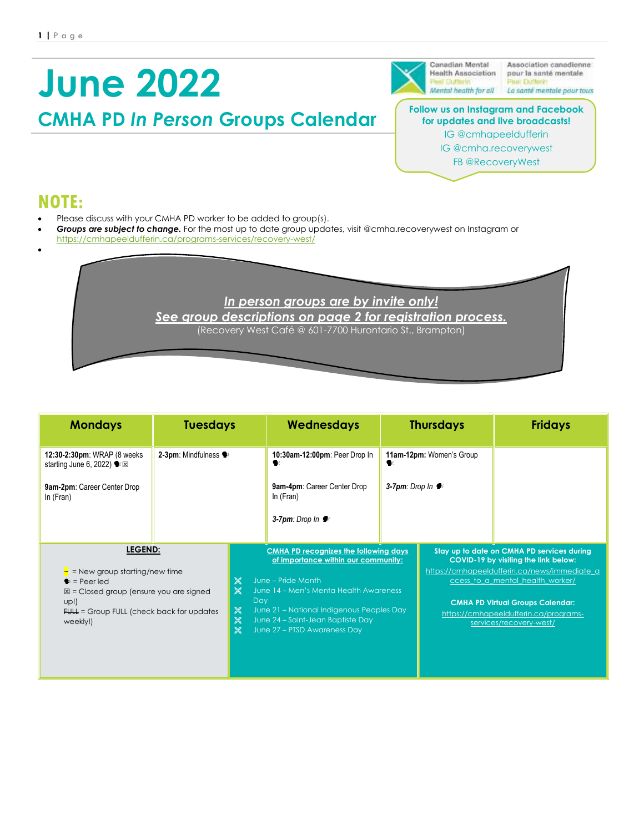# **June 2022**

Canadian Mental **Health Association** 

Association canadienne pour la santé mentale Mental health for all La santé mentale pour tous

#### **Follow us on Instagram and Facebook for updates and live broadcasts!** IG @cmhapeeldufferin IG @cmha.recoverywest

FB @RecoveryWest

## **NOTE:**

•

• Please discuss with your CMHA PD worker to be added to group(s).

**CMHA PD** *In Person* **Groups Calendar**

• *Groups are subject to change.* For the most up to date group updates, visit @cmha.recoverywest on Instagram or <https://cmhapeeldufferin.ca/programs-services/recovery-west/>

> *In person groups are by invite only! See group descriptions on page 2 for registration process.* (Recovery West Café @ 601-7700 Hurontario St., Brampton)

| <b>Mondays</b>                                                                                                                                                                                 | <b>Tuesdays</b>      |                                                                                                                                                                                                                                                                                                                                                                        | Wednesdays                                 | <b>Thursdays</b>         |                                                                                                                                                                                                                                                                                       | <b>Fridays</b> |
|------------------------------------------------------------------------------------------------------------------------------------------------------------------------------------------------|----------------------|------------------------------------------------------------------------------------------------------------------------------------------------------------------------------------------------------------------------------------------------------------------------------------------------------------------------------------------------------------------------|--------------------------------------------|--------------------------|---------------------------------------------------------------------------------------------------------------------------------------------------------------------------------------------------------------------------------------------------------------------------------------|----------------|
| 12:30-2:30pm: WRAP (8 weeks)<br>starting June 6, 2022) $\bullet \times$                                                                                                                        | 2-3pm: Mindfulness · |                                                                                                                                                                                                                                                                                                                                                                        | 10:30am-12:00pm: Peer Drop In              | 11am-12pm: Women's Group |                                                                                                                                                                                                                                                                                       |                |
| 9am-2pm: Career Center Drop<br>In (Fran)                                                                                                                                                       |                      |                                                                                                                                                                                                                                                                                                                                                                        | 9am-4pm: Career Center Drop<br>In $(Fran)$ | 3-7pm: Drop $ln \bullet$ |                                                                                                                                                                                                                                                                                       |                |
|                                                                                                                                                                                                |                      |                                                                                                                                                                                                                                                                                                                                                                        | 3-7pm: Drop $\ln \blacktriangleright$      |                          |                                                                                                                                                                                                                                                                                       |                |
| LEGEND:<br>$\sim$ = New group starting/new time<br>$\bullet$ = Peer led<br>$\mathbb{Z}$ = Closed group (ensure you are signed<br>up!)<br>FULL = Group FULL (check back for updates<br>weekly!) |                      | <b>CMHA PD recognizes the following days</b><br>of importance within our community:<br>$\frac{1}{20}$<br>June - Pride Month<br>June 14 - Men's Menta Health Awareness<br>$\frac{1}{26}$<br>Day<br>June 21 - National Indigenous Peoples Day<br>$\frac{1}{20}$<br>$\frac{1}{20}$<br>June 24 - Saint-Jean Baptiste Day<br>$\frac{1}{26}$<br>June 27 - PTSD Awareness Day |                                            |                          | Stay up to date on CMHA PD services during<br>COVID-19 by visiting the link below:<br>https://cmhapeeldufferin.ca/news/immediate_a<br>ccess_to_a_mental_health_worker/<br><b>CMHA PD Virtual Groups Calendar:</b><br>https://cmhapeeldufferin.ca/programs-<br>services/recovery-west/ |                |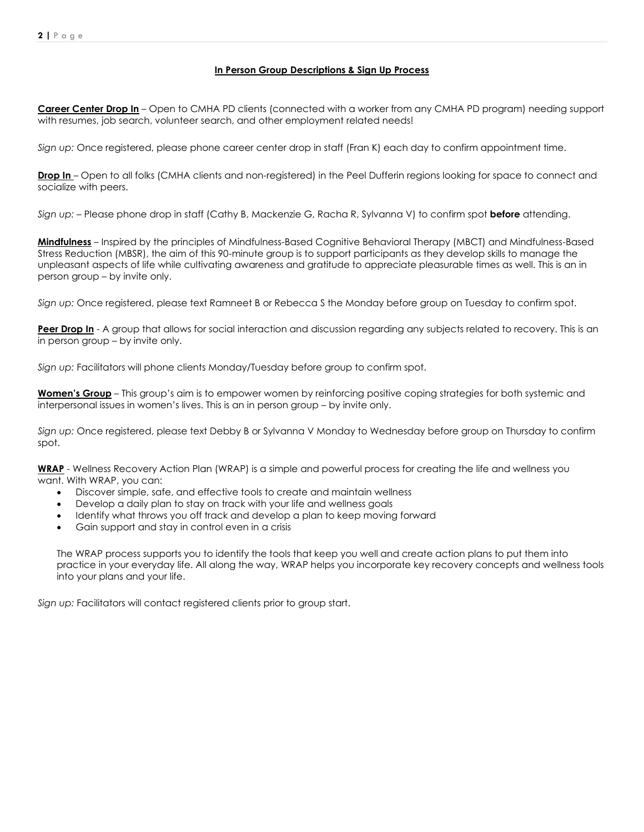#### **In Person Group Descriptions & Sign Up Process**

**Career Center Drop In** – Open to CMHA PD clients (connected with a worker from any CMHA PD program) needing support with resumes, job search, volunteer search, and other employment related needs!

*Sign up:* Once registered, please phone career center drop in staff (Fran K) each day to confirm appointment time.

**Drop In** – Open to all folks (CMHA clients and non-registered) in the Peel Dufferin regions looking for space to connect and socialize with peers.

*Sign up:* – Please phone drop in staff (Cathy B, Mackenzie G, Racha R, Sylvanna V) to confirm spot **before** attending.

**Mindfulness** – Inspired by the principles of Mindfulness-Based Cognitive Behavioral Therapy (MBCT) and Mindfulness-Based Stress Reduction (MBSR), the aim of this 90-minute group is to support participants as they develop skills to manage the unpleasant aspects of life while cultivating awareness and gratitude to appreciate pleasurable times as well. This is an in person group – by invite only.

*Sign up:* Once registered, please text Ramneet B or Rebecca S the Monday before group on Tuesday to confirm spot.

Peer Drop In - A group that allows for social interaction and discussion regarding any subjects related to recovery. This is an in person group – by invite only.

*Sign up:* Facilitators will phone clients Monday/Tuesday before group to confirm spot.

**Women's Group** – This group's aim is to empower women by reinforcing positive coping strategies for both systemic and interpersonal issues in women's lives. This is an in person group – by invite only.

*Sign up:* Once registered, please text Debby B or Sylvanna V Monday to Wednesday before group on Thursday to confirm spot.

**WRAP** - Wellness Recovery Action Plan (WRAP) is a simple and powerful process for creating the life and wellness you want. With WRAP, you can:

- Discover simple, safe, and effective tools to create and maintain wellness
- Develop a daily plan to stay on track with your life and wellness goals
- Identify what throws you off track and develop a plan to keep moving forward
- Gain support and stay in control even in a crisis

The WRAP process supports you to identify the tools that keep you well and create action plans to put them into practice in your everyday life. All along the way, WRAP helps you incorporate key recovery concepts and wellness tools into your plans and your life.

*Sign up:* Facilitators will contact registered clients prior to group start.